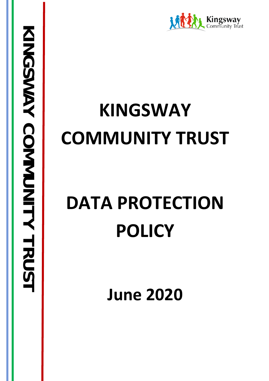

# **KINGSWAY COMMUNITY TRUST**

# **DATA PROTECTION POLICY**

**June 2020**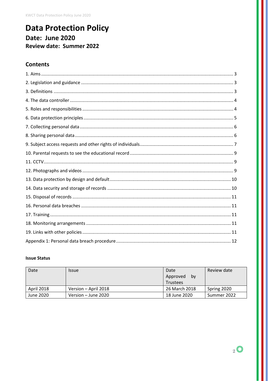## **Data Protection Policy** Date: June 2020 **Review date: Summer 2022**

## **Contents**

#### **Issue Status**

| Date              | <i><b>Issue</b></i>  | Date<br>Approved<br>.bv<br><b>Trustees</b> | Review date |
|-------------------|----------------------|--------------------------------------------|-------------|
| <b>April 2018</b> | Version - April 2018 | 26 March 2018                              | Spring 2020 |
| June 2020         | Version – June 2020  | 18 June 2020                               | Summer 2022 |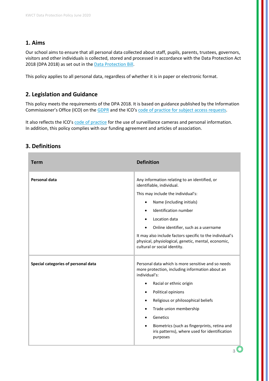## **1. Aims**

Our school aims to ensure that all personal data collected about staff, pupils, parents, trustees, governors, visitors and other individuals is collected, stored and processed in accordance with the Data Protection Act 2018 (DPA 2018) as set out in the [Data Protection Bill.](https://publications.parliament.uk/pa/bills/cbill/2017-2019/0153/18153.pdf)

This policy applies to all personal data, regardless of whether it is in paper or electronic format.

## **2. Legislation and Guidance**

This policy meets the requirements of the DPA 2018. It is based on guidance published by the Information Commissioner's Office (ICO) on th[e GDPR](https://ico.org.uk/for-organisations/guide-to-the-general-data-protection-regulation-gdpr/individual-rights/right-to-be-informed/) and the ICO's [code of practice for subject access requests.](https://ico.org.uk/media/for-organisations/documents/2014223/subject-access-code-of-practice.pdf)

It also reflects the ICO'[s code of practice](https://ico.org.uk/media/for-organisations/documents/1542/cctv-code-of-practice.pdf) for the use of surveillance cameras and personal information. In addition, this policy complies with our funding agreement and articles of association.

## **3. Definitions**

| <b>Term</b>                         | <b>Definition</b>                                                                                                                                                                                                                                                                                                                                                                                             |
|-------------------------------------|---------------------------------------------------------------------------------------------------------------------------------------------------------------------------------------------------------------------------------------------------------------------------------------------------------------------------------------------------------------------------------------------------------------|
| Personal data                       | Any information relating to an identified, or<br>identifiable, individual.<br>This may include the individual's:<br>Name (including initials)<br>$\bullet$<br>Identification number<br>Location data<br>Online identifier, such as a username<br>$\bullet$<br>It may also include factors specific to the individual's<br>physical, physiological, genetic, mental, economic,<br>cultural or social identity. |
| Special categories of personal data | Personal data which is more sensitive and so needs<br>more protection, including information about an<br>individual's:<br>Racial or ethnic origin<br>$\bullet$<br>Political opinions<br>$\bullet$<br>Religious or philosophical beliefs<br>Trade union membership<br>Genetics<br>Biometrics (such as fingerprints, retina and<br>iris patterns), where used for identification<br>purposes                    |

 $3<sup>o</sup>$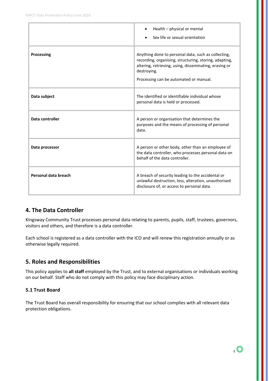|                      | Health – physical or mental<br>Sex life or sexual orientation                                                                                                                                                                    |
|----------------------|----------------------------------------------------------------------------------------------------------------------------------------------------------------------------------------------------------------------------------|
| Processing           | Anything done to personal data, such as collecting,<br>recording, organising, structuring, storing, adapting,<br>altering, retrieving, using, disseminating, erasing or<br>destroying.<br>Processing can be automated or manual. |
| Data subject         | The identified or identifiable individual whose<br>personal data is held or processed.                                                                                                                                           |
| Data controller      | A person or organisation that determines the<br>purposes and the means of processing of personal<br>data.                                                                                                                        |
| Data processor       | A person or other body, other than an employee of<br>the data controller, who processes personal data on<br>behalf of the data controller.                                                                                       |
| Personal data breach | A breach of security leading to the accidental or<br>unlawful destruction, loss, alteration, unauthorised<br>disclosure of, or access to personal data.                                                                          |

## **4. The Data Controller**

Kingsway Community Trust processes personal data relating to parents, pupils, staff, trustees, governors, visitors and others, and therefore is a data controller.

Each school is registered as a data controller with the ICO and will renew this registration annually or as otherwise legally required.

## **5. Roles and Responsibilities**

This policy applies to **all staff** employed by the Trust, and to external organisations or individuals working on our behalf. Staff who do not comply with this policy may face disciplinary action.

#### **5.1 Trust Board**

The Trust Board has overall responsibility for ensuring that our school complies with all relevant data protection obligations.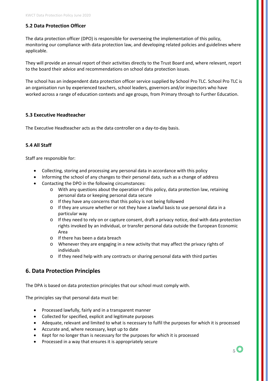#### **5.2 Data Protection Officer**

The data protection officer (DPO) is responsible for overseeing the implementation of this policy, monitoring our compliance with data protection law, and developing related policies and guidelines where applicable.

They will provide an annual report of their activities directly to the Trust Board and, where relevant, report to the board their advice and recommendations on school data protection issues.

The school has an independent data protection officer service supplied by School Pro TLC. School Pro TLC is an organisation run by experienced teachers, school leaders, governors and/or inspectors who have worked across a range of education contexts and age groups, from Primary through to Further Education.

#### **5.3 Executive Headteacher**

The Executive Headteacher acts as the data controller on a day-to-day basis.

#### **5.4 All Staff**

Staff are responsible for:

- Collecting, storing and processing any personal data in accordance with this policy
- Informing the school of any changes to their personal data, such as a change of address
- Contacting the DPO in the following circumstances:
	- o With any questions about the operation of this policy, data protection law, retaining personal data or keeping personal data secure
	- o If they have any concerns that this policy is not being followed
	- o If they are unsure whether or not they have a lawful basis to use personal data in a particular way
	- o If they need to rely on or capture consent, draft a privacy notice, deal with data protection rights invoked by an individual, or transfer personal data outside the European Economic Area
	- o If there has been a data breach
	- o Whenever they are engaging in a new activity that may affect the privacy rights of individuals
	- o If they need help with any contracts or sharing personal data with third parties

#### **6. Data Protection Principles**

The DPA is based on data protection principles that our school must comply with.

The principles say that personal data must be:

- Processed lawfully, fairly and in a transparent manner
- Collected for specified, explicit and legitimate purposes
- Adequate, relevant and limited to what is necessary to fulfil the purposes for which it is processed
- Accurate and, where necessary, kept up to date
- Kept for no longer than is necessary for the purposes for which it is processed
- Processed in a way that ensures it is appropriately secure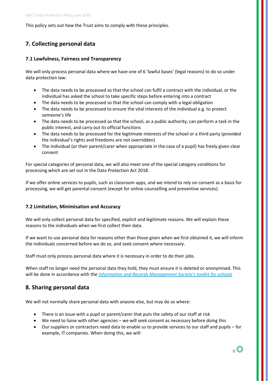This policy sets out how the Trust aims to comply with these principles.

## **7. Collecting personal data**

#### **7.1 Lawfulness, Fairness and Transparency**

We will only process personal data where we have one of 6 'lawful bases' (legal reasons) to do so under data protection law:

- The data needs to be processed so that the school can fulfil a contract with the individual, or the individual has asked the school to take specific steps before entering into a contract
- The data needs to be processed so that the school can comply with a legal obligation
- The data needs to be processed to ensure the vital interests of the individual e.g. to protect someone's life
- The data needs to be processed so that the school, as a public authority, can perform a task in the public interest, and carry out its official functions
- The data needs to be processed for the legitimate interests of the school or a third party (provided the individual's rights and freedoms are not overridden)
- The individual (or their parent/carer when appropriate in the case of a pupil) has freely given clear consent

For special categories of personal data, we will also meet one of the special category conditions for processing which are set out in the Data Protection Act 2018.

If we offer online services to pupils, such as classroom apps, and we intend to rely on consent as a basis for processing, we will get parental consent (except for online counselling and preventive services).

#### **7.2 Limitation, Minimisation and Accuracy**

We will only collect personal data for specified, explicit and legitimate reasons. We will explain these reasons to the individuals when we first collect their data.

If we want to use personal data for reasons other than those given when we first obtained it, we will inform the individuals concerned before we do so, and seek consent where necessary.

Staff must only process personal data where it is necessary in order to do their jobs.

When staff no longer need the personal data they hold, they must ensure it is deleted or anonymised. This will be done in accordance with the *[Information and Records Management Society's toolkit for schools](http://irms.org.uk/?page=schoolstoolkit&terms=%22toolkit+and+schools%22)*

#### **8. Sharing personal data**

We will not normally share personal data with anyone else, but may do so where:

- There is an issue with a pupil or parent/carer that puts the safety of our staff at risk
- We need to liaise with other agencies we will seek consent as necessary before doing this
- Our suppliers or contractors need data to enable us to provide services to our staff and pupils for example, IT companies. When doing this, we will: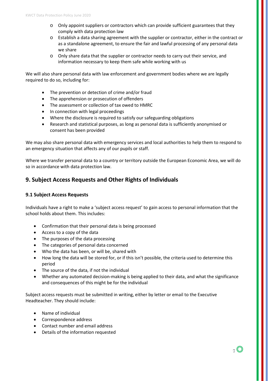- o Only appoint suppliers or contractors which can provide sufficient guarantees that they comply with data protection law
- o Establish a data sharing agreement with the supplier or contractor, either in the contract or as a standalone agreement, to ensure the fair and lawful processing of any personal data we share
- o Only share data that the supplier or contractor needs to carry out their service, and information necessary to keep them safe while working with us

We will also share personal data with law enforcement and government bodies where we are legally required to do so, including for:

- The prevention or detection of crime and/or fraud
- The apprehension or prosecution of offenders
- The assessment or collection of tax owed to HMRC
- In connection with legal proceedings
- Where the disclosure is required to satisfy our safeguarding obligations
- Research and statistical purposes, as long as personal data is sufficiently anonymised or consent has been provided

We may also share personal data with emergency services and local authorities to help them to respond to an emergency situation that affects any of our pupils or staff.

Where we transfer personal data to a country or territory outside the European Economic Area, we will do so in accordance with data protection law.

## **9. Subject Access Requests and Other Rights of Individuals**

#### **9.1 Subject Access Requests**

Individuals have a right to make a 'subject access request' to gain access to personal information that the school holds about them. This includes:

- Confirmation that their personal data is being processed
- Access to a copy of the data
- The purposes of the data processing
- The categories of personal data concerned
- Who the data has been, or will be, shared with
- How long the data will be stored for, or if this isn't possible, the criteria used to determine this period
- The source of the data, if not the individual
- Whether any automated decision-making is being applied to their data, and what the significance and consequences of this might be for the individual

Subject access requests must be submitted in writing, either by letter or email to the Executive Headteacher. They should include:

- Name of individual
- Correspondence address
- Contact number and email address
- Details of the information requested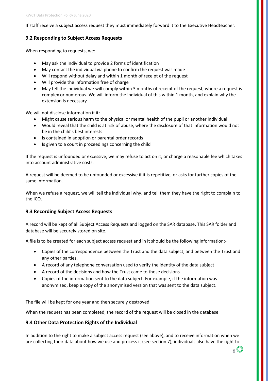If staff receive a subject access request they must immediately forward it to the Executive Headteacher.

#### **9.2 Responding to Subject Access Requests**

When responding to requests, we:

- May ask the individual to provide 2 forms of identification
- May contact the individual via phone to confirm the request was made
- Will respond without delay and within 1 month of receipt of the request
- Will provide the information free of charge
- May tell the individual we will comply within 3 months of receipt of the request, where a request is complex or numerous. We will inform the individual of this within 1 month, and explain why the extension is necessary

We will not disclose information if it:

- Might cause serious harm to the physical or mental health of the pupil or another individual
- Would reveal that the child is at risk of abuse, where the disclosure of that information would not be in the child's best interests
- Is contained in adoption or parental order records
- Is given to a court in proceedings concerning the child

If the request is unfounded or excessive, we may refuse to act on it, or charge a reasonable fee which takes into account administrative costs.

A request will be deemed to be unfounded or excessive if it is repetitive, or asks for further copies of the same information.

When we refuse a request, we will tell the individual why, and tell them they have the right to complain to the ICO.

#### **9.3 Recording Subject Access Requests**

A record will be kept of all Subject Access Requests and logged on the SAR database. This SAR folder and database will be securely stored on site.

A file is to be created for each subject access request and in it should be the following information:-

- Copies of the correspondence between the Trust and the data subject, and between the Trust and any other parties.
- A record of any telephone conversation used to verify the identity of the data subject
- A record of the decisions and how the Trust came to those decisions
- Copies of the information sent to the data subject. For example, if the information was anonymised, keep a copy of the anonymised version that was sent to the data subject.

The file will be kept for one year and then securely destroyed.

When the request has been completed, the record of the request will be closed in the database.

#### **9.4 Other Data Protection Rights of the Individual**

In addition to the right to make a subject access request (see above), and to receive information when we are collecting their data about how we use and process it (see section 7), individuals also have the right to:

 $\rm _8$  O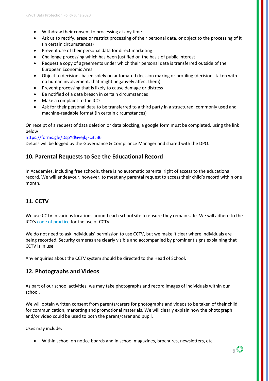- Withdraw their consent to processing at any time
- Ask us to rectify, erase or restrict processing of their personal data, or object to the processing of it (in certain circumstances)
- Prevent use of their personal data for direct marketing
- Challenge processing which has been justified on the basis of public interest
- Request a copy of agreements under which their personal data is transferred outside of the European Economic Area
- Object to decisions based solely on automated decision making or profiling (decisions taken with no human involvement, that might negatively affect them)
- Prevent processing that is likely to cause damage or distress
- Be notified of a data breach in certain circumstances
- Make a complaint to the ICO
- Ask for their personal data to be transferred to a third party in a structured, commonly used and machine-readable format (in certain circumstances)

On receipt of a request of data deletion or data blocking, a google form must be completed, using the link below

<https://forms.gle/DspYdGyejkjFc3LB6>

Details will be logged by the Governance & Compliance Manager and shared with the DPO.

#### **10. Parental Requests to See the Educational Record**

In Academies, including free schools, there is no automatic parental right of access to the educational record. We will endeavour, however, to meet any parental request to access their child's record within one month.

## **11. CCTV**

We use CCTV in various locations around each school site to ensure they remain safe. We will adhere to the ICO's [code of practice](https://ico.org.uk/media/for-organisations/documents/1542/cctv-code-of-practice.pdf) for the use of CCTV.

We do not need to ask individuals' permission to use CCTV, but we make it clear where individuals are being recorded. Security cameras are clearly visible and accompanied by prominent signs explaining that CCTV is in use.

Any enquiries about the CCTV system should be directed to the Head of School.

#### **12. Photographs and Videos**

As part of our school activities, we may take photographs and record images of individuals within our school.

We will obtain written consent from parents/carers for photographs and videos to be taken of their child for communication, marketing and promotional materials. We will clearly explain how the photograph and/or video could be used to both the parent/carer and pupil.

Uses may include:

• Within school on notice boards and in school magazines, brochures, newsletters, etc.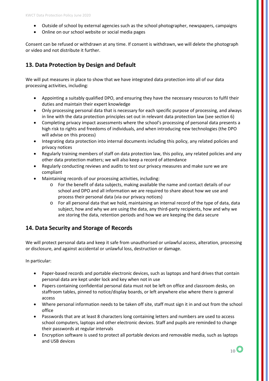- Outside of school by external agencies such as the school photographer, newspapers, campaigns
- Online on our school website or social media pages

Consent can be refused or withdrawn at any time. If consent is withdrawn, we will delete the photograph or video and not distribute it further.

## **13. Data Protection by Design and Default**

We will put measures in place to show that we have integrated data protection into all of our data processing activities, including:

- Appointing a suitably qualified DPO, and ensuring they have the necessary resources to fulfil their duties and maintain their expert knowledge
- Only processing personal data that is necessary for each specific purpose of processing, and always in line with the data protection principles set out in relevant data protection law (see section 6)
- Completing privacy impact assessments where the school's processing of personal data presents a high risk to rights and freedoms of individuals, and when introducing new technologies (the DPO will advise on this process)
- Integrating data protection into internal documents including this policy, any related policies and privacy notices
- Regularly training members of staff on data protection law, this policy, any related policies and any other data protection matters; we will also keep a record of attendance
- Regularly conducting reviews and audits to test our privacy measures and make sure we are compliant
- Maintaining records of our processing activities, including:
	- o For the benefit of data subjects, making available the name and contact details of our school and DPO and all information we are required to share about how we use and process their personal data (via our privacy notices)
	- o For all personal data that we hold, maintaining an internal record of the type of data, data subject, how and why we are using the data, any third-party recipients, how and why we are storing the data, retention periods and how we are keeping the data secure

## **14. Data Security and Storage of Records**

We will protect personal data and keep it safe from unauthorised or unlawful access, alteration, processing or disclosure, and against accidental or unlawful loss, destruction or damage.

In particular:

- Paper-based records and portable electronic devices, such as laptops and hard drives that contain personal data are kept under lock and key when not in use
- Papers containing confidential personal data must not be left on office and classroom desks, on staffroom tables, pinned to notice/display boards, or left anywhere else where there is general access
- Where personal information needs to be taken off site, staff must sign it in and out from the school office
- Passwords that are at least 8 characters long containing letters and numbers are used to access school computers, laptops and other electronic devices. Staff and pupils are reminded to change their passwords at regular intervals
- Encryption software is used to protect all portable devices and removable media, such as laptops and USB devices

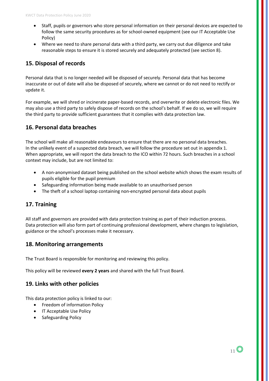- Staff, pupils or governors who store personal information on their personal devices are expected to follow the same security procedures as for school-owned equipment (see our IT Acceptable Use Policy)
- Where we need to share personal data with a third party, we carry out due diligence and take reasonable steps to ensure it is stored securely and adequately protected (see section 8).

## **15. Disposal of records**

Personal data that is no longer needed will be disposed of securely. Personal data that has become inaccurate or out of date will also be disposed of securely, where we cannot or do not need to rectify or update it.

For example, we will shred or incinerate paper-based records, and overwrite or delete electronic files. We may also use a third party to safely dispose of records on the school's behalf. If we do so, we will require the third party to provide sufficient guarantees that it complies with data protection law.

## **16. Personal data breaches**

The school will make all reasonable endeavours to ensure that there are no personal data breaches. In the unlikely event of a suspected data breach, we will follow the procedure set out in appendix 1. When appropriate, we will report the data breach to the ICO within 72 hours. Such breaches in a school context may include, but are not limited to:

- A non-anonymised dataset being published on the school website which shows the exam results of pupils eligible for the pupil premium
- Safeguarding information being made available to an unauthorised person
- The theft of a school laptop containing non-encrypted personal data about pupils

## **17. Training**

All staff and governors are provided with data protection training as part of their induction process. Data protection will also form part of continuing professional development, where changes to legislation, guidance or the school's processes make it necessary.

## **18. Monitoring arrangements**

The Trust Board is responsible for monitoring and reviewing this policy.

This policy will be reviewed **every 2 years** and shared with the full Trust Board.

## **19. Links with other policies**

This data protection policy is linked to our:

- Freedom of information Policy
- IT Acceptable Use Policy
- Safeguarding Policy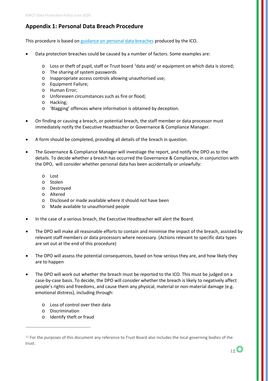## **Appendix 1: Personal Data Breach Procedure**

This procedure is based o[n guidance on personal data breaches](https://ico.org.uk/for-organisations/guide-to-the-general-data-protection-regulation-gdpr/personal-data-breaches/) produced by the ICO.

- Data protection breaches could be caused by a number of factors. Some examples are:
	- $\circ$  Loss or theft of pupil, staff or Trust board <sup>[1](#page-11-0)</sup>data and/ or equipment on which data is stored;
	- o The sharing of system passwords
	- o Inappropriate access controls allowing unauthorised use;
	- o Equipment Failure;
	- o Human Error;
	- o Unforeseen circumstances such as fire or flood;
	- o Hacking;
	- o 'Blagging' offences where information is obtained by deception.
- On finding or causing a breach, or potential breach, the staff member or data processor must immediately notify the Executive Headteacher or Governance & Compliance Manager.
- A form should be completed, providing all details of the breach in question.
- The Governance & Compliance Manager will investiage the report, and notify the DPO as to the details. To decide whether a breach has occurred the Governance & Compliance, in conjunction with the DPO, will consider whether personal data has been accidentally or unlawfully:
	- o Lost
	- o Stolen
	- o Destroyed
	- o Altered
	- o Disclosed or made available where it should not have been
	- o Made available to unauthorised people
- In the case of a serious breach, the Executive Headteacher will alert the Board.
- The DPO will make all reasonable efforts to contain and minimise the impact of the breach, assisted by relevant staff members or data processors where necessary. (Actions relevant to specific data types are set out at the end of this procedure)
- The DPO will assess the potential consequences, based on how serious they are, and how likely they are to happen
- The DPO will work out whether the breach must be reported to the ICO. This must be judged on a case-by-case basis. To decide, the DPO will consider whether the breach is likely to negatively affect people's rights and freedoms, and cause them any physical, material or non-material damage (e.g. emotional distress), including through:
	- o Loss of control over their data
	- o Discrimination

 $\overline{a}$ 

o Identify theft or fraud

<span id="page-11-0"></span><sup>&</sup>lt;sup>11</sup> For the purposes of this document any reference to Trust Board also includes the local governing bodies of the trust.

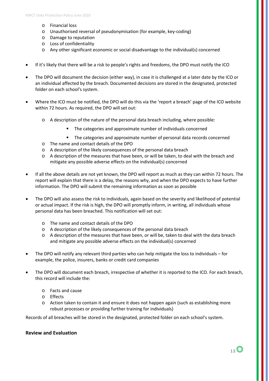- o Financial loss
- o Unauthorised reversal of pseudonymisation (for example, key-coding)
- o Damage to reputation
- o Loss of confidentiality
- o Any other significant economic or social disadvantage to the individual(s) concerned
- If it's likely that there will be a risk to people's rights and freedoms, the DPO must notify the ICO
- The DPO will document the decision (either way), in case it is challenged at a later date by the ICO or an individual affected by the breach. Documented decisions are stored in the designated, protected folder on each school's system.
- Where the ICO must be notified, the DPO will do this via th[e 'report a breach' page of the ICO website](https://ico.org.uk/for-organisations/report-a-breach/) within 72 hours. As required, the DPO will set out:
	- o A description of the nature of the personal data breach including, where possible:
		- The categories and approximate number of individuals concerned
		- The categories and approximate number of personal data records concerned
	- o The name and contact details of the DPO
	- o A description of the likely consequences of the personal data breach
	- o A description of the measures that have been, or will be taken, to deal with the breach and mitigate any possible adverse effects on the individual(s) concerned
- If all the above details are not yet known, the DPO will report as much as they can within 72 hours. The report will explain that there is a delay, the reasons why, and when the DPO expects to have further information. The DPO will submit the remaining information as soon as possible
- The DPO will also assess the risk to individuals, again based on the severity and likelihood of potential or actual impact. If the risk is high, the DPO will promptly inform, in writing, all individuals whose personal data has been breached. This notification will set out:
	- o The name and contact details of the DPO
	- o A description of the likely consequences of the personal data breach
	- o A description of the measures that have been, or will be, taken to deal with the data breach and mitigate any possible adverse effects on the individual(s) concerned
- The DPO will notify any relevant third parties who can help mitigate the loss to individuals for example, the police, insurers, banks or credit card companies
- The DPO will document each breach, irrespective of whether it is reported to the ICO. For each breach, this record will include the:
	- o Facts and cause
	- o Effects
	- o Action taken to contain it and ensure it does not happen again (such as establishing more robust processes or providing further training for individuals)

Records of all breaches will be stored in the designated, protected folder on each school's system.

#### **Review and Evaluation**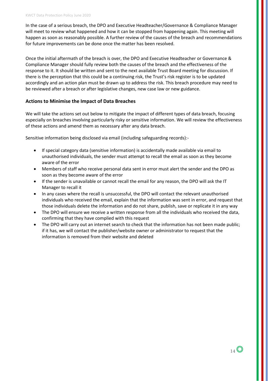In the case of a serious breach, the DPO and Executive Headteacher/Governance & Compliance Manager will meet to review what happened and how it can be stopped from happening again. This meeting will happen as soon as reasonably possible. A further review of the causes of the breach and recommendations for future improvements can be done once the matter has been resolved.

Once the initial aftermath of the breach is over, the DPO and Executive Headteacher or Governance & Compliance Manager should fully review both the causes of the breach and the effectiveness of the response to it. It should be written and sent to the next available Trust Board meeting for discussion. If there is the perception that this could be a continuing risk, the Trust's risk register is to be updated accordingly and an action plan must be drawn up to address the risk. This breach procedure may need to be reviewed after a breach or after legislative changes, new case law or new guidance.

#### **Actions to Minimise the Impact of Data Breaches**

We will take the actions set out below to mitigate the impact of different types of data breach, focusing especially on breaches involving particularly risky or sensitive information. We will review the effectiveness of these actions and amend them as necessary after any data breach.

Sensitive information being disclosed via email (including safeguarding records):-

- If special category data (sensitive information) is accidentally made available via email to unauthorised individuals, the sender must attempt to recall the email as soon as they become aware of the error
- Members of staff who receive personal data sent in error must alert the sender and the DPO as soon as they become aware of the error
- If the sender is unavailable or cannot recall the email for any reason, the DPO will ask the IT Manager to recall it
- In any cases where the recall is unsuccessful, the DPO will contact the relevant unauthorised individuals who received the email, explain that the information was sent in error, and request that those individuals delete the information and do not share, publish, save or replicate it in any way
- The DPO will ensure we receive a written response from all the individuals who received the data, confirming that they have complied with this request
- The DPO will carry out an internet search to check that the information has not been made public; if it has, we will contact the publisher/website owner or administrator to request that the information is removed from their website and deleted